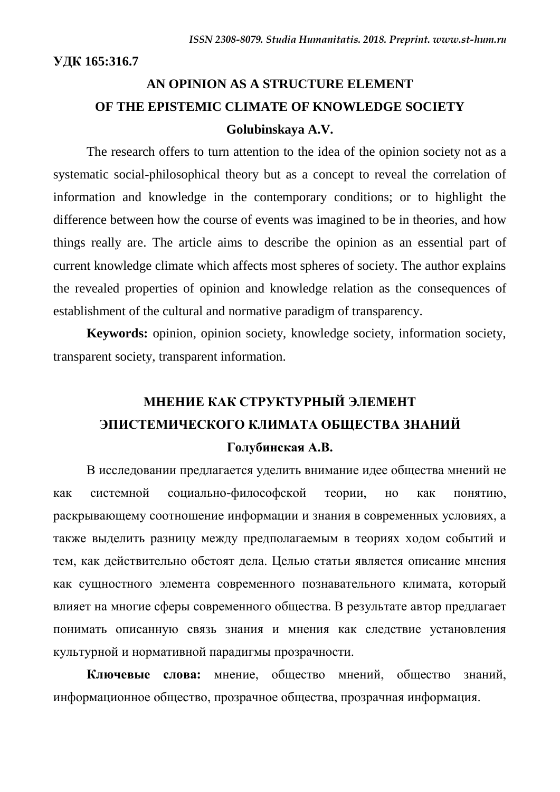**УДК 165:316.7**

## **AN OPINION AS A STRUCTURE ELEMENT OF THE EPISTEMIC CLIMATE OF KNOWLEDGE SOCIETY Golubinskaya A.V.**

The research offers to turn attention to the idea of the opinion society not as a systematic social-philosophical theory but as a concept to reveal the correlation of information and knowledge in the contemporary conditions; or to highlight the difference between how the course of events was imagined to be in theories, and how things really are. The article aims to describe the opinion as an essential part of current knowledge climate which affects most spheres of society. The author explains the revealed properties of opinion and knowledge relation as the consequences of establishment of the cultural and normative paradigm of transparency.

**Keywords:** opinion, opinion society, knowledge society, information society, transparent society, transparent information.

# **МНЕНИЕ КАК СТРУКТУРНЫЙ ЭЛЕМЕНТ ЭПИСТЕМИЧЕСКОГО КЛИМАТА ОБЩЕСТВА ЗНАНИЙ**

### **Голубинская А.В.**

В исследовании предлагается уделить внимание идее общества мнений не как системной социально-философской теории, но как понятию, раскрывающему соотношение информации и знания в современных условиях, а также выделить разницу между предполагаемым в теориях ходом событий и тем, как действительно обстоят дела. Целью статьи является описание мнения как сущностного элемента современного познавательного климата, который влияет на многие сферы современного общества. В результате автор предлагает понимать описанную связь знания и мнения как следствие установления культурной и нормативной парадигмы прозрачности.

**Ключевые слова:** мнение, общество мнений, общество знаний, информационное общество, прозрачное общества, прозрачная информация.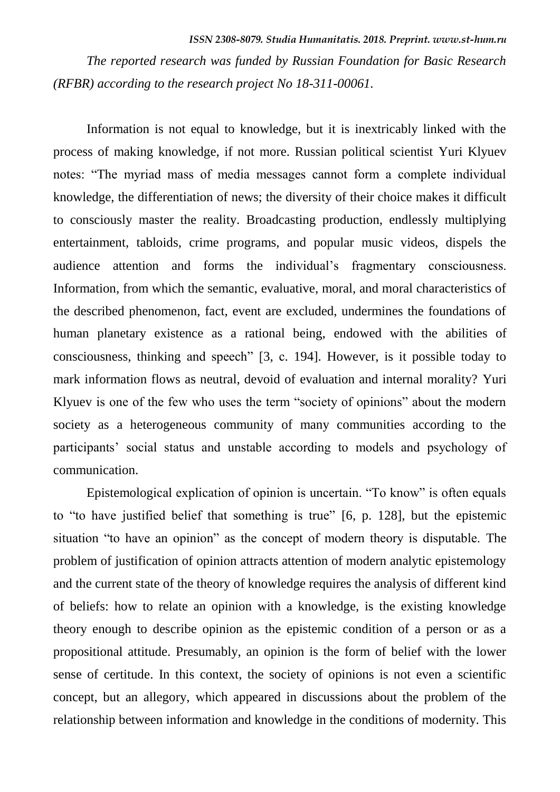*ISSN 2308-8079. Studia Humanitatis. 2018. Preprint. www.st-hum.ru*

*The reported research was funded by Russian Foundation for Basic Research (RFBR) according to the research project No 18-311-00061.*

Information is not equal to knowledge, but it is inextricably linked with the process of making knowledge, if not more. Russian political scientist Yuri Klyuev notes: "The myriad mass of media messages cannot form a complete individual knowledge, the differentiation of news; the diversity of their choice makes it difficult to consciously master the reality. Broadcasting production, endlessly multiplying entertainment, tabloids, crime programs, and popular music videos, dispels the audience attention and forms the individual"s fragmentary consciousness. Information, from which the semantic, evaluative, moral, and moral characteristics of the described phenomenon, fact, event are excluded, undermines the foundations of human planetary existence as a rational being, endowed with the abilities of consciousness, thinking and speech" [3, с. 194]. However, is it possible today to mark information flows as neutral, devoid of evaluation and internal morality? Yuri Klyuev is one of the few who uses the term "society of opinions" about the modern society as a heterogeneous community of many communities according to the participants" social status and unstable according to models and psychology of communication.

Epistemological explication of opinion is uncertain. "To know" is often equals to "to have justified belief that something is true" [6, p. 128], but the epistemic situation "to have an opinion" as the concept of modern theory is disputable. The problem of justification of opinion attracts attention of modern analytic epistemology and the current state of the theory of knowledge requires the analysis of different kind of beliefs: how to relate an opinion with a knowledge, is the existing knowledge theory enough to describe opinion as the epistemic condition of a person or as a propositional attitude. Presumably, an opinion is the form of belief with the lower sense of certitude. In this context, the society of opinions is not even a scientific concept, but an allegory, which appeared in discussions about the problem of the relationship between information and knowledge in the conditions of modernity. This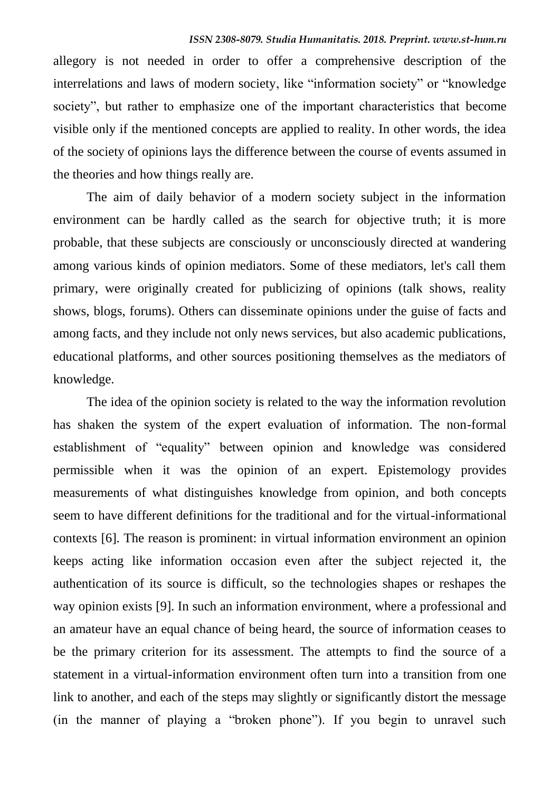allegory is not needed in order to offer a comprehensive description of the interrelations and laws of modern society, like "information society" or "knowledge society", but rather to emphasize one of the important characteristics that become visible only if the mentioned concepts are applied to reality. In other words, the idea of the society of opinions lays the difference between the course of events assumed in the theories and how things really are.

The aim of daily behavior of a modern society subject in the information environment can be hardly called as the search for objective truth; it is more probable, that these subjects are consciously or unconsciously directed at wandering among various kinds of opinion mediators. Some of these mediators, let's call them primary, were originally created for publicizing of opinions (talk shows, reality shows, blogs, forums). Others can disseminate opinions under the guise of facts and among facts, and they include not only news services, but also academic publications, educational platforms, and other sources positioning themselves as the mediators of knowledge.

The idea of the opinion society is related to the way the information revolution has shaken the system of the expert evaluation of information. The non-formal establishment of "equality" between opinion and knowledge was considered permissible when it was the opinion of an expert. Epistemology provides measurements of what distinguishes knowledge from opinion, and both concepts seem to have different definitions for the traditional and for the virtual-informational contexts [6]. The reason is prominent: in virtual information environment an opinion keeps acting like information occasion even after the subject rejected it, the authentication of its source is difficult, so the technologies shapes or reshapes the way opinion exists [9]. In such an information environment, where a professional and an amateur have an equal chance of being heard, the source of information ceases to be the primary criterion for its assessment. The attempts to find the source of a statement in a virtual-information environment often turn into a transition from one link to another, and each of the steps may slightly or significantly distort the message (in the manner of playing a "broken phone"). If you begin to unravel such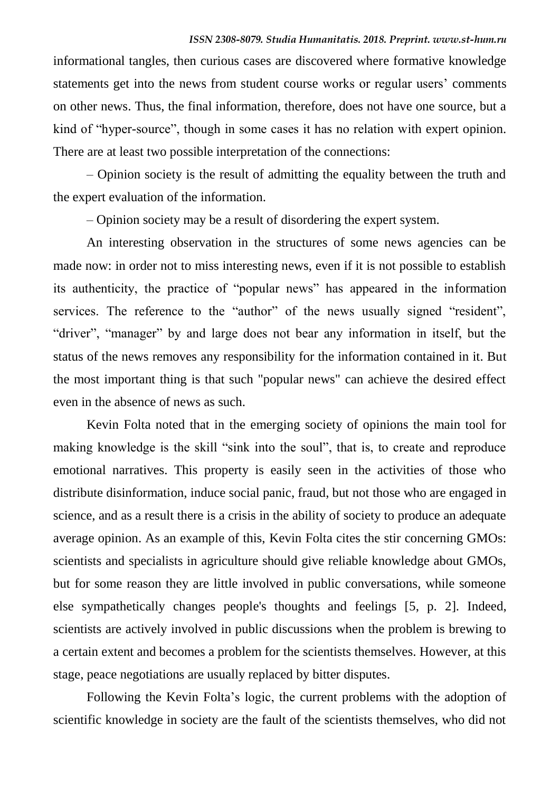informational tangles, then curious cases are discovered where formative knowledge statements get into the news from student course works or regular users' comments on other news. Thus, the final information, therefore, does not have one source, but a kind of "hyper-source", though in some cases it has no relation with expert opinion. There are at least two possible interpretation of the connections:

– Opinion society is the result of admitting the equality between the truth and the expert evaluation of the information.

– Opinion society may be a result of disordering the expert system.

An interesting observation in the structures of some news agencies can be made now: in order not to miss interesting news, even if it is not possible to establish its authenticity, the practice of "popular news" has appeared in the information services. The reference to the "author" of the news usually signed "resident", "driver", "manager" by and large does not bear any information in itself, but the status of the news removes any responsibility for the information contained in it. But the most important thing is that such "popular news" can achieve the desired effect even in the absence of news as such.

Kevin Folta noted that in the emerging society of opinions the main tool for making knowledge is the skill "sink into the soul", that is, to create and reproduce emotional narratives. This property is easily seen in the activities of those who distribute disinformation, induce social panic, fraud, but not those who are engaged in science, and as a result there is a crisis in the ability of society to produce an adequate average opinion. As an example of this, Kevin Folta cites the stir concerning GMOs: scientists and specialists in agriculture should give reliable knowledge about GMOs, but for some reason they are little involved in public conversations, while someone else sympathetically changes people's thoughts and feelings [5, p. 2]. Indeed, scientists are actively involved in public discussions when the problem is brewing to a certain extent and becomes a problem for the scientists themselves. However, at this stage, peace negotiations are usually replaced by bitter disputes.

Following the Kevin Folta"s logic, the current problems with the adoption of scientific knowledge in society are the fault of the scientists themselves, who did not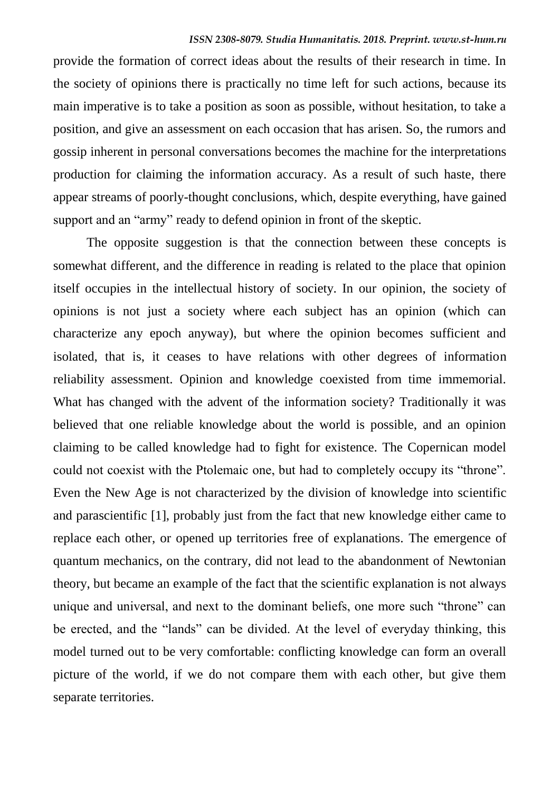provide the formation of correct ideas about the results of their research in time. In the society of opinions there is practically no time left for such actions, because its main imperative is to take a position as soon as possible, without hesitation, to take a position, and give an assessment on each occasion that has arisen. So, the rumors and gossip inherent in personal conversations becomes the machine for the interpretations production for claiming the information accuracy. As a result of such haste, there appear streams of poorly-thought conclusions, which, despite everything, have gained support and an "army" ready to defend opinion in front of the skeptic.

The opposite suggestion is that the connection between these concepts is somewhat different, and the difference in reading is related to the place that opinion itself occupies in the intellectual history of society. In our opinion, the society of opinions is not just a society where each subject has an opinion (which can characterize any epoch anyway), but where the opinion becomes sufficient and isolated, that is, it ceases to have relations with other degrees of information reliability assessment. Opinion and knowledge coexisted from time immemorial. What has changed with the advent of the information society? Traditionally it was believed that one reliable knowledge about the world is possible, and an opinion claiming to be called knowledge had to fight for existence. The Copernican model could not coexist with the Ptolemaic one, but had to completely occupy its "throne". Even the New Age is not characterized by the division of knowledge into scientific and parascientific [1], probably just from the fact that new knowledge either came to replace each other, or opened up territories free of explanations. The emergence of quantum mechanics, on the contrary, did not lead to the abandonment of Newtonian theory, but became an example of the fact that the scientific explanation is not always unique and universal, and next to the dominant beliefs, one more such "throne" can be erected, and the "lands" can be divided. At the level of everyday thinking, this model turned out to be very comfortable: conflicting knowledge can form an overall picture of the world, if we do not compare them with each other, but give them separate territories.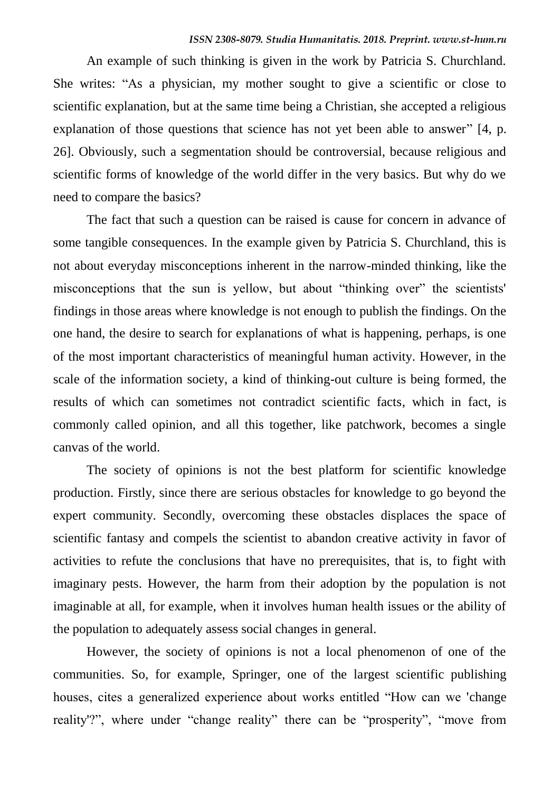An example of such thinking is given in the work by Patricia S. Churchland. She writes: "As a physician, my mother sought to give a scientific or close to scientific explanation, but at the same time being a Christian, she accepted a religious explanation of those questions that science has not yet been able to answer" [4, p. 26]. Obviously, such a segmentation should be controversial, because religious and scientific forms of knowledge of the world differ in the very basics. But why do we need to compare the basics?

The fact that such a question can be raised is cause for concern in advance of some tangible consequences. In the example given by Patricia S. Churchland, this is not about everyday misconceptions inherent in the narrow-minded thinking, like the misconceptions that the sun is yellow, but about "thinking over" the scientists' findings in those areas where knowledge is not enough to publish the findings. On the one hand, the desire to search for explanations of what is happening, perhaps, is one of the most important characteristics of meaningful human activity. However, in the scale of the information society, a kind of thinking-out culture is being formed, the results of which can sometimes not contradict scientific facts, which in fact, is commonly called opinion, and all this together, like patchwork, becomes a single canvas of the world.

The society of opinions is not the best platform for scientific knowledge production. Firstly, since there are serious obstacles for knowledge to go beyond the expert community. Secondly, overcoming these obstacles displaces the space of scientific fantasy and compels the scientist to abandon creative activity in favor of activities to refute the conclusions that have no prerequisites, that is, to fight with imaginary pests. However, the harm from their adoption by the population is not imaginable at all, for example, when it involves human health issues or the ability of the population to adequately assess social changes in general.

However, the society of opinions is not a local phenomenon of one of the communities. So, for example, Springer, one of the largest scientific publishing houses, cites a generalized experience about works entitled "How can we 'change reality'?", where under "change reality" there can be "prosperity", "move from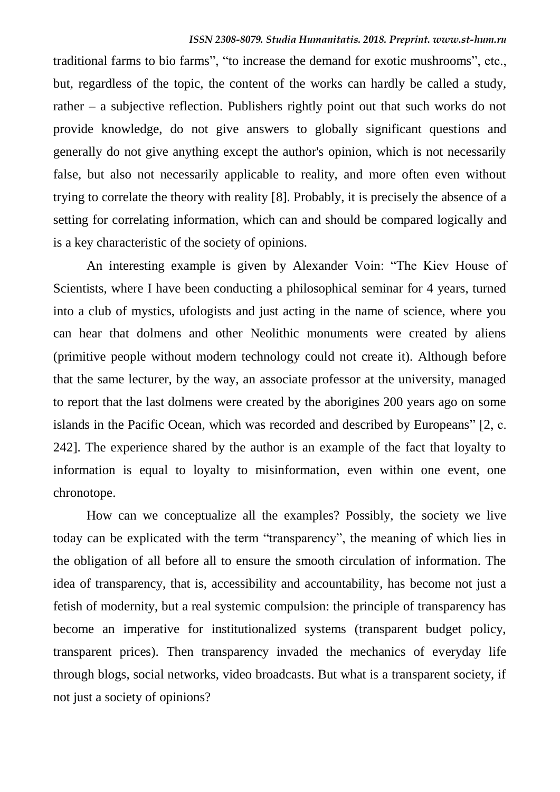traditional farms to bio farms", "to increase the demand for exotic mushrooms", etc., but, regardless of the topic, the content of the works can hardly be called a study, rather – a subjective reflection. Publishers rightly point out that such works do not provide knowledge, do not give answers to globally significant questions and generally do not give anything except the author's opinion, which is not necessarily false, but also not necessarily applicable to reality, and more often even without trying to correlate the theory with reality [8]. Probably, it is precisely the absence of a setting for correlating information, which can and should be compared logically and is a key characteristic of the society of opinions.

An interesting example is given by Alexander Voin: "The Kiev House of Scientists, where I have been conducting a philosophical seminar for 4 years, turned into a club of mystics, ufologists and just acting in the name of science, where you can hear that dolmens and other Neolithic monuments were created by aliens (primitive people without modern technology could not create it). Although before that the same lecturer, by the way, an associate professor at the university, managed to report that the last dolmens were created by the aborigines 200 years ago on some islands in the Pacific Ocean, which was recorded and described by Europeans" [2, с. 242]. The experience shared by the author is an example of the fact that loyalty to information is equal to loyalty to misinformation, even within one event, one chronotope.

How can we conceptualize all the examples? Possibly, the society we live today can be explicated with the term "transparency", the meaning of which lies in the obligation of all before all to ensure the smooth circulation of information. The idea of transparency, that is, accessibility and accountability, has become not just a fetish of modernity, but a real systemic compulsion: the principle of transparency has become an imperative for institutionalized systems (transparent budget policy, transparent prices). Then transparency invaded the mechanics of everyday life through blogs, social networks, video broadcasts. But what is a transparent society, if not just a society of opinions?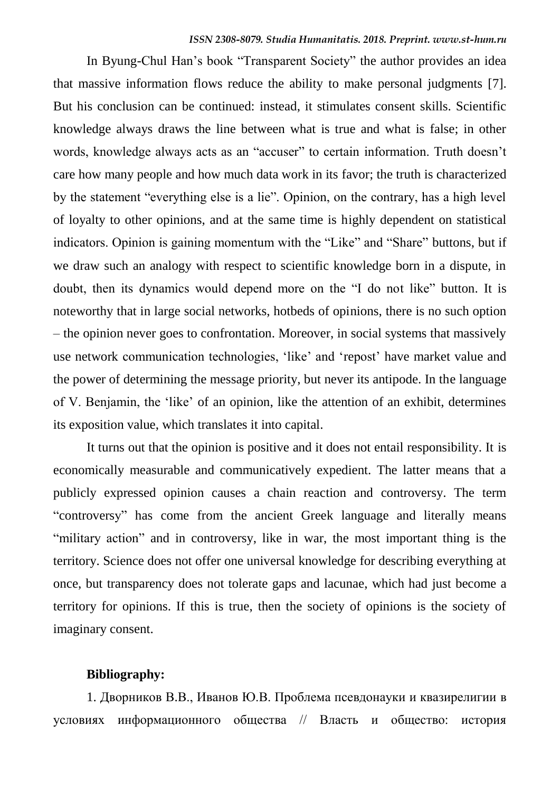In Byung-Chul Han"s book "Transparent Society" the author provides an idea that massive information flows reduce the ability to make personal judgments [7]. But his conclusion can be continued: instead, it stimulates consent skills. Scientific knowledge always draws the line between what is true and what is false; in other words, knowledge always acts as an "accuser" to certain information. Truth doesn't care how many people and how much data work in its favor; the truth is characterized by the statement "everything else is a lie". Opinion, on the contrary, has a high level of loyalty to other opinions, and at the same time is highly dependent on statistical indicators. Opinion is gaining momentum with the "Like" and "Share" buttons, but if we draw such an analogy with respect to scientific knowledge born in a dispute, in doubt, then its dynamics would depend more on the "I do not like" button. It is noteworthy that in large social networks, hotbeds of opinions, there is no such option – the opinion never goes to confrontation. Moreover, in social systems that massively use network communication technologies, "like" and "repost" have market value and the power of determining the message priority, but never its antipode. In the language of V. Benjamin, the "like" of an opinion, like the attention of an exhibit, determines its exposition value, which translates it into capital.

It turns out that the opinion is positive and it does not entail responsibility. It is economically measurable and communicatively expedient. The latter means that a publicly expressed opinion causes a chain reaction and controversy. The term "controversy" has come from the ancient Greek language and literally means "military action" and in controversy, like in war, the most important thing is the territory. Science does not offer one universal knowledge for describing everything at once, but transparency does not tolerate gaps and lacunae, which had just become a territory for opinions. If this is true, then the society of opinions is the society of imaginary consent.

#### **Bibliography:**

1. Дворников В.В., Иванов Ю.В. Проблема псевдонауки и квазирелигии в условиях информационного общества // Власть и общество: история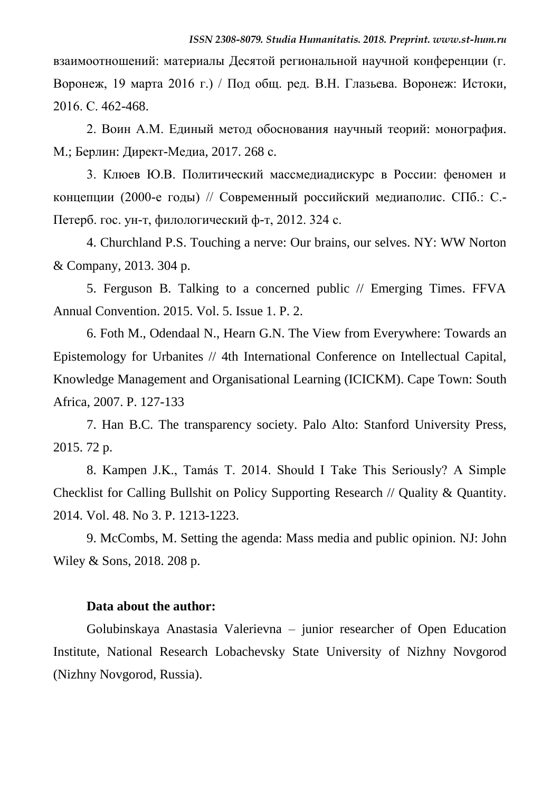взаимоотношений: материалы Десятой региональной научной конференции (г. Воронеж, 19 марта 2016 г.) / Под общ. ред. В.Н. Глазьева. Воронеж: Истоки, 2016. С. 462-468.

2. Воин А.М. Единый метод обоснования научный теорий: монография. М.; Берлин: Директ-Медиа, 2017. 268 с.

3. Клюев Ю.В. Политический массмедиадискурс в России: феномен и концепции (2000-е годы) // Современный российский медиаполис. СПб.: С.- Петерб. гос. ун-т, филологический ф-т, 2012. 324 с.

4. Churchland P.S. Touching a nerve: Our brains, our selves. NY: WW Norton & Company, 2013. 304 p.

5. Ferguson B. Talking to a concerned public // Emerging Times. FFVA Annual Convention. 2015. Vol. 5. Issue 1. P. 2.

6. Foth M., Odendaal N., Hearn G.N. The View from Everywhere: Towards an Epistemology for Urbanites // 4th International Conference on Intellectual Capital, Knowledge Management and Organisational Learning (ICICKM). Cape Town: South Africa, 2007. P. 127-133

7. Han B.C. The transparency society. Palo Alto: Stanford University Press, 2015. 72 p.

8. Kampen J.K., Tamás T. 2014. Should I Take This Seriously? A Simple Checklist for Calling Bullshit on Policy Supporting Research // Quality & Quantity. 2014. Vol. 48. No 3. P. 1213-1223.

9. McCombs, M. Setting the agenda: Mass media and public opinion. NJ: John Wiley & Sons, 2018. 208 p.

#### **Data about the author:**

Gоlubinskaya Anastasia Valerievna – junior researcher of Open Education Institute, National Research Lobachevsky State University of Nizhny Novgorod (Nizhny Novgorod, Russia).